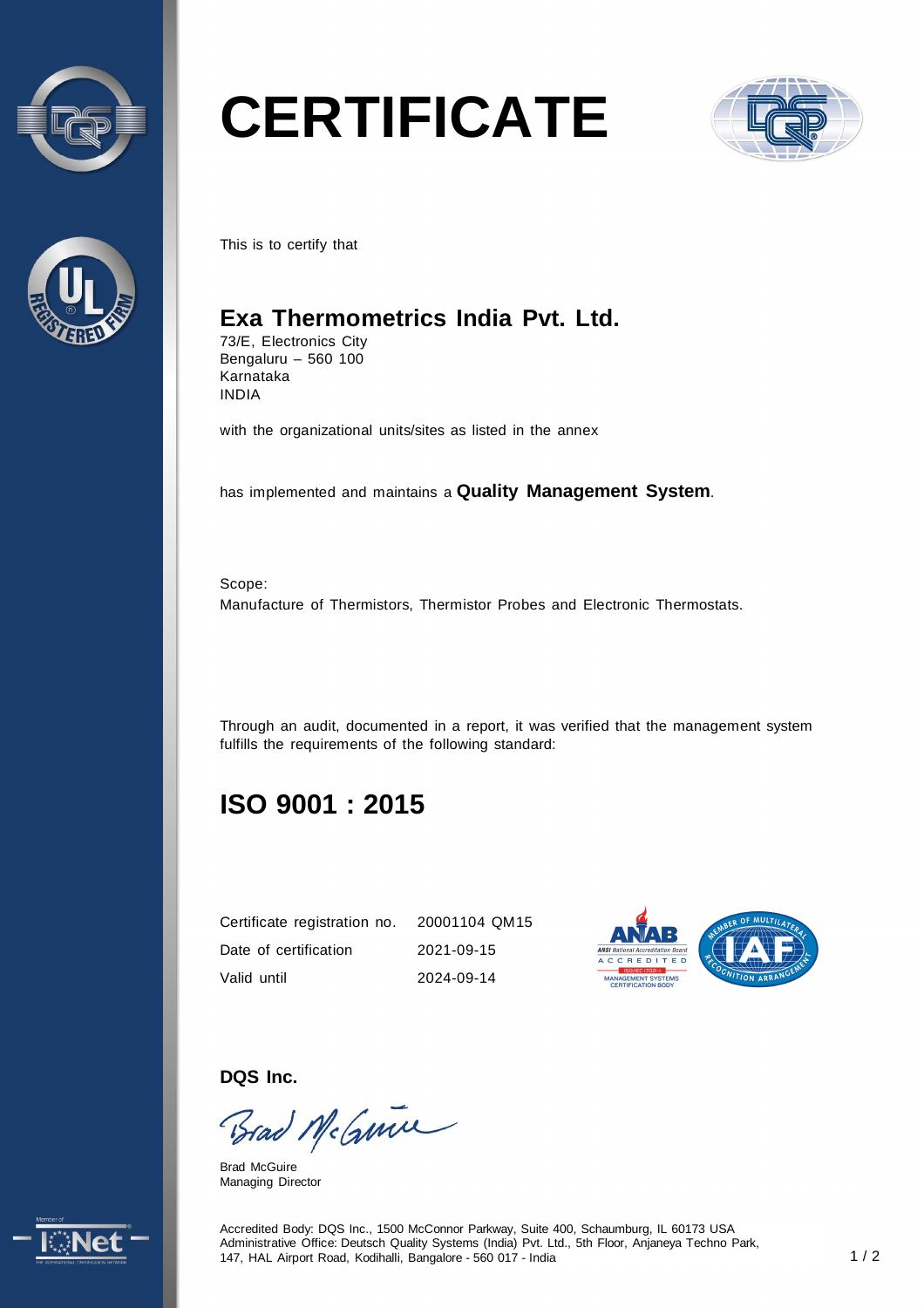



# **CERTIFICATE**



This is to certify that

### **Exa Thermometrics India Pvt. Ltd.**

73/E, Electronics City Bengaluru – 560 100 Karnataka INDIA

with the organizational units/sites as listed in the annex

has implemented and maintains a **Quality Management System**.

Scope: Manufacture of Thermistors, Thermistor Probes and Electronic Thermostats.

Through an audit, documented in a report, it was verified that the management system fulfills the requirements of the following standard:

## **ISO 9001 : 2015**

| Certificate registration no. 20001104 QM15 |            |
|--------------------------------------------|------------|
| Date of certification                      | 2021-09-15 |
| Valid until                                | 2024-09-14 |



**DQS Inc.** 

Brad McGmin

Brad McGuire Managing Director



Accredited Body: DQS Inc., 1500 McConnor Parkway, Suite 400, Schaumburg, IL 60173 USA Administrative Office: Deutsch Quality Systems (India) Pvt. Ltd., 5th Floor, Anjaneya Techno Park, 147, HAL Airport Road, Kodihalli, Bangalore - 560 017 - India 1 / 2